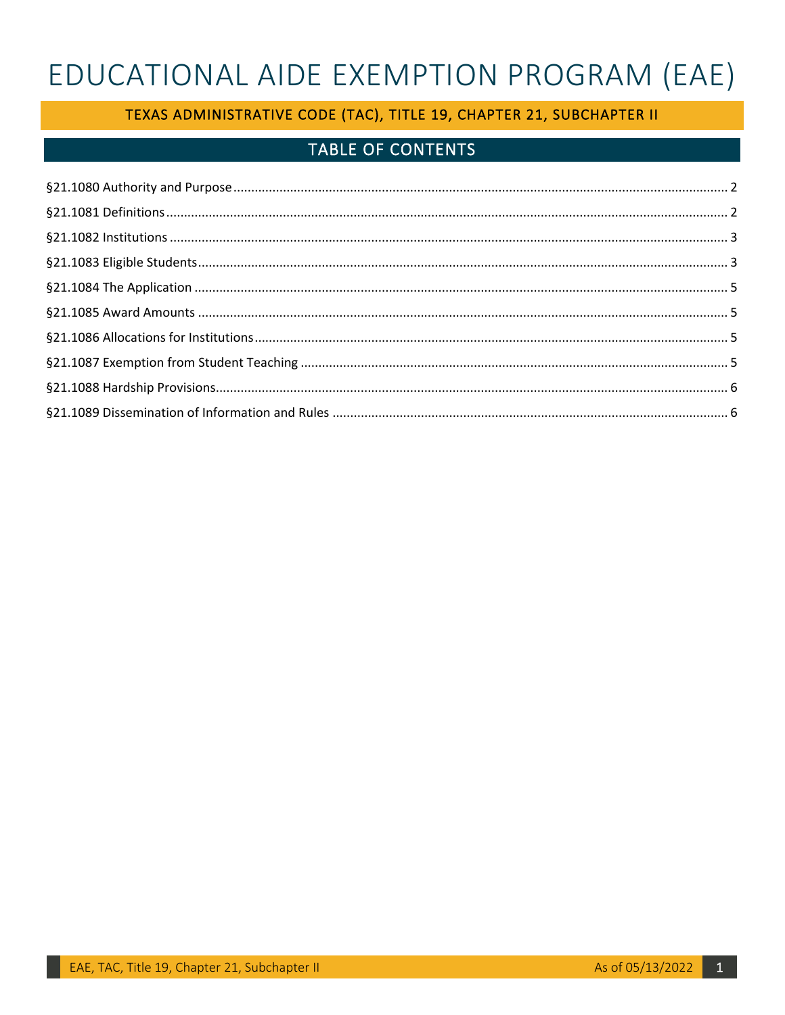# EDUCATIONAL AIDE EXEMPTION PROGRAM (EAE)

# TEXAS ADMINISTRATIVE CODE (TAC), TITLE 19, CHAPTER 21, SUBCHAPTER II

# TABLE OF CONTENTS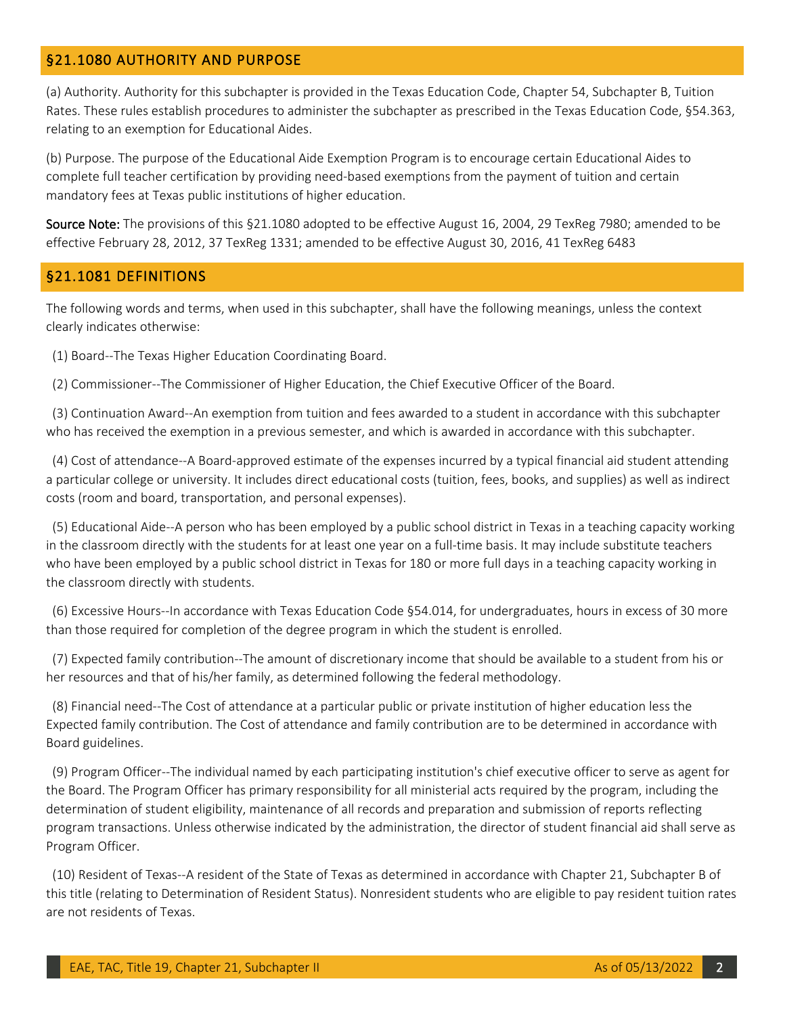# <span id="page-1-0"></span>§21.1080 AUTHORITY AND PURPOSE

(a) Authority. Authority for this subchapter is provided in the Texas Education Code, Chapter 54, Subchapter B, Tuition Rates. These rules establish procedures to administer the subchapter as prescribed in the Texas Education Code, §54.363, relating to an exemption for Educational Aides.

(b) Purpose. The purpose of the Educational Aide Exemption Program is to encourage certain Educational Aides to complete full teacher certification by providing need-based exemptions from the payment of tuition and certain mandatory fees at Texas public institutions of higher education.

Source Note: The provisions of this §21.1080 adopted to be effective August 16, 2004, 29 TexReg 7980; amended to be effective February 28, 2012, 37 TexReg 1331; amended to be effective August 30, 2016, 41 TexReg 6483

## <span id="page-1-1"></span>§21.1081 DEFINITIONS

The following words and terms, when used in this subchapter, shall have the following meanings, unless the context clearly indicates otherwise:

(1) Board--The Texas Higher Education Coordinating Board.

(2) Commissioner--The Commissioner of Higher Education, the Chief Executive Officer of the Board.

 (3) Continuation Award--An exemption from tuition and fees awarded to a student in accordance with this subchapter who has received the exemption in a previous semester, and which is awarded in accordance with this subchapter.

 (4) Cost of attendance--A Board-approved estimate of the expenses incurred by a typical financial aid student attending a particular college or university. It includes direct educational costs (tuition, fees, books, and supplies) as well as indirect costs (room and board, transportation, and personal expenses).

 (5) Educational Aide--A person who has been employed by a public school district in Texas in a teaching capacity working in the classroom directly with the students for at least one year on a full-time basis. It may include substitute teachers who have been employed by a public school district in Texas for 180 or more full days in a teaching capacity working in the classroom directly with students.

 (6) Excessive Hours--In accordance with Texas Education Code §54.014, for undergraduates, hours in excess of 30 more than those required for completion of the degree program in which the student is enrolled.

 (7) Expected family contribution--The amount of discretionary income that should be available to a student from his or her resources and that of his/her family, as determined following the federal methodology.

 (8) Financial need--The Cost of attendance at a particular public or private institution of higher education less the Expected family contribution. The Cost of attendance and family contribution are to be determined in accordance with Board guidelines.

 (9) Program Officer--The individual named by each participating institution's chief executive officer to serve as agent for the Board. The Program Officer has primary responsibility for all ministerial acts required by the program, including the determination of student eligibility, maintenance of all records and preparation and submission of reports reflecting program transactions. Unless otherwise indicated by the administration, the director of student financial aid shall serve as Program Officer.

 (10) Resident of Texas--A resident of the State of Texas as determined in accordance with Chapter 21, Subchapter B of this title (relating to Determination of Resident Status). Nonresident students who are eligible to pay resident tuition rates are not residents of Texas.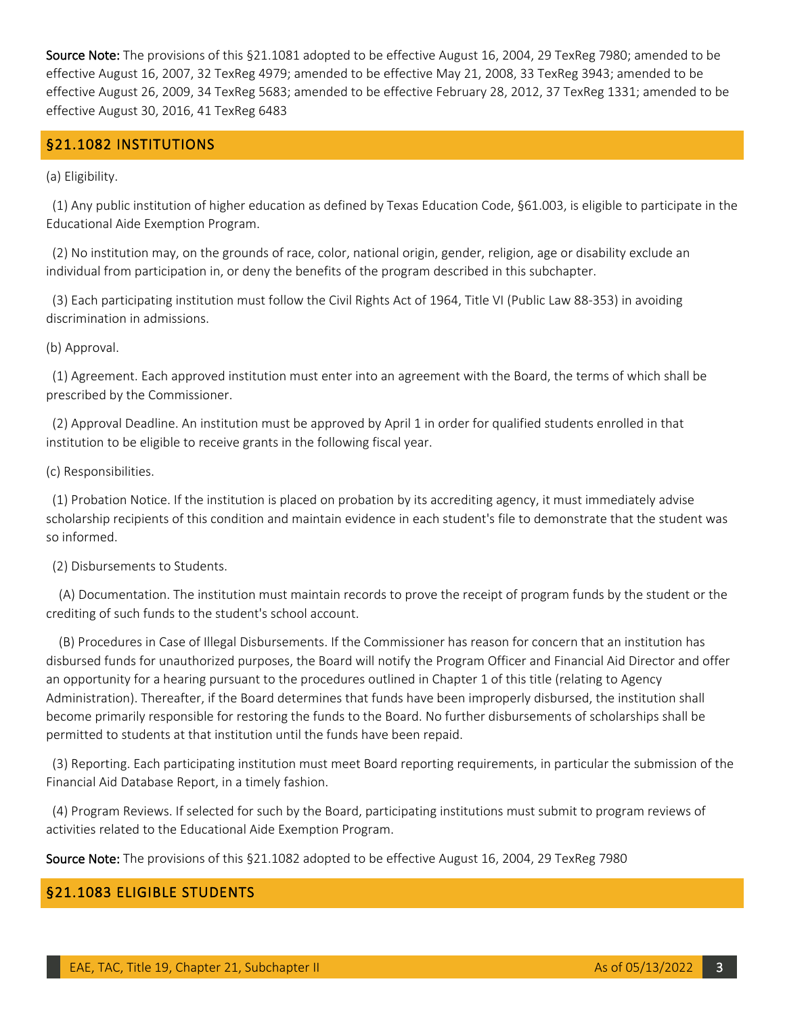Source Note: The provisions of this §21.1081 adopted to be effective August 16, 2004, 29 TexReg 7980; amended to be effective August 16, 2007, 32 TexReg 4979; amended to be effective May 21, 2008, 33 TexReg 3943; amended to be effective August 26, 2009, 34 TexReg 5683; amended to be effective February 28, 2012, 37 TexReg 1331; amended to be effective August 30, 2016, 41 TexReg 6483

# <span id="page-2-0"></span>§21.1082 INSTITUTIONS

(a) Eligibility.

 (1) Any public institution of higher education as defined by Texas Education Code, §61.003, is eligible to participate in the Educational Aide Exemption Program.

 (2) No institution may, on the grounds of race, color, national origin, gender, religion, age or disability exclude an individual from participation in, or deny the benefits of the program described in this subchapter.

 (3) Each participating institution must follow the Civil Rights Act of 1964, Title VI (Public Law 88-353) in avoiding discrimination in admissions.

(b) Approval.

 (1) Agreement. Each approved institution must enter into an agreement with the Board, the terms of which shall be prescribed by the Commissioner.

 (2) Approval Deadline. An institution must be approved by April 1 in order for qualified students enrolled in that institution to be eligible to receive grants in the following fiscal year.

(c) Responsibilities.

 (1) Probation Notice. If the institution is placed on probation by its accrediting agency, it must immediately advise scholarship recipients of this condition and maintain evidence in each student's file to demonstrate that the student was so informed.

(2) Disbursements to Students.

 (A) Documentation. The institution must maintain records to prove the receipt of program funds by the student or the crediting of such funds to the student's school account.

 (B) Procedures in Case of Illegal Disbursements. If the Commissioner has reason for concern that an institution has disbursed funds for unauthorized purposes, the Board will notify the Program Officer and Financial Aid Director and offer an opportunity for a hearing pursuant to the procedures outlined in Chapter 1 of this title (relating to Agency Administration). Thereafter, if the Board determines that funds have been improperly disbursed, the institution shall become primarily responsible for restoring the funds to the Board. No further disbursements of scholarships shall be permitted to students at that institution until the funds have been repaid.

 (3) Reporting. Each participating institution must meet Board reporting requirements, in particular the submission of the Financial Aid Database Report, in a timely fashion.

 (4) Program Reviews. If selected for such by the Board, participating institutions must submit to program reviews of activities related to the Educational Aide Exemption Program.

Source Note: The provisions of this §21.1082 adopted to be effective August 16, 2004, 29 TexReg 7980

#### <span id="page-2-1"></span>§21.1083 ELIGIBLE STUDENTS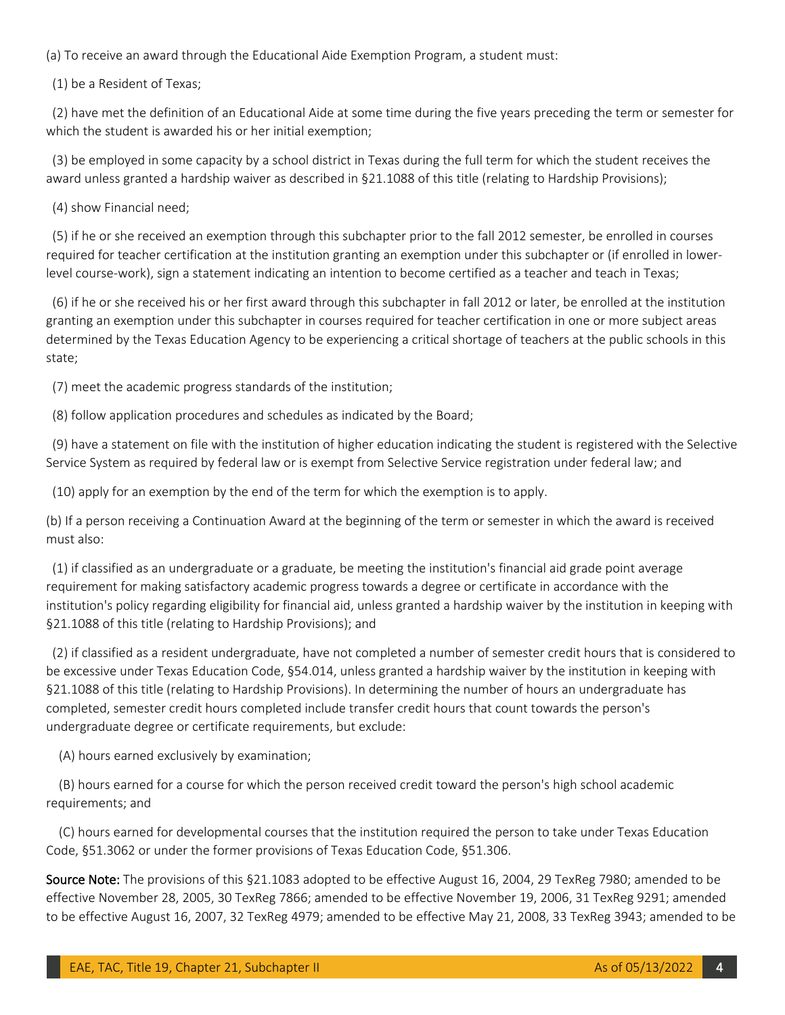(a) To receive an award through the Educational Aide Exemption Program, a student must:

(1) be a Resident of Texas;

 (2) have met the definition of an Educational Aide at some time during the five years preceding the term or semester for which the student is awarded his or her initial exemption;

 (3) be employed in some capacity by a school district in Texas during the full term for which the student receives the award unless granted a hardship waiver as described in §21.1088 of this title (relating to Hardship Provisions);

(4) show Financial need;

 (5) if he or she received an exemption through this subchapter prior to the fall 2012 semester, be enrolled in courses required for teacher certification at the institution granting an exemption under this subchapter or (if enrolled in lowerlevel course-work), sign a statement indicating an intention to become certified as a teacher and teach in Texas;

 (6) if he or she received his or her first award through this subchapter in fall 2012 or later, be enrolled at the institution granting an exemption under this subchapter in courses required for teacher certification in one or more subject areas determined by the Texas Education Agency to be experiencing a critical shortage of teachers at the public schools in this state;

(7) meet the academic progress standards of the institution;

(8) follow application procedures and schedules as indicated by the Board;

 (9) have a statement on file with the institution of higher education indicating the student is registered with the Selective Service System as required by federal law or is exempt from Selective Service registration under federal law; and

(10) apply for an exemption by the end of the term for which the exemption is to apply.

(b) If a person receiving a Continuation Award at the beginning of the term or semester in which the award is received must also:

 (1) if classified as an undergraduate or a graduate, be meeting the institution's financial aid grade point average requirement for making satisfactory academic progress towards a degree or certificate in accordance with the institution's policy regarding eligibility for financial aid, unless granted a hardship waiver by the institution in keeping with §21.1088 of this title (relating to Hardship Provisions); and

 (2) if classified as a resident undergraduate, have not completed a number of semester credit hours that is considered to be excessive under Texas Education Code, §54.014, unless granted a hardship waiver by the institution in keeping with §21.1088 of this title (relating to Hardship Provisions). In determining the number of hours an undergraduate has completed, semester credit hours completed include transfer credit hours that count towards the person's undergraduate degree or certificate requirements, but exclude:

(A) hours earned exclusively by examination;

 (B) hours earned for a course for which the person received credit toward the person's high school academic requirements; and

 (C) hours earned for developmental courses that the institution required the person to take under Texas Education Code, §51.3062 or under the former provisions of Texas Education Code, §51.306.

Source Note: The provisions of this §21.1083 adopted to be effective August 16, 2004, 29 TexReg 7980; amended to be effective November 28, 2005, 30 TexReg 7866; amended to be effective November 19, 2006, 31 TexReg 9291; amended to be effective August 16, 2007, 32 TexReg 4979; amended to be effective May 21, 2008, 33 TexReg 3943; amended to be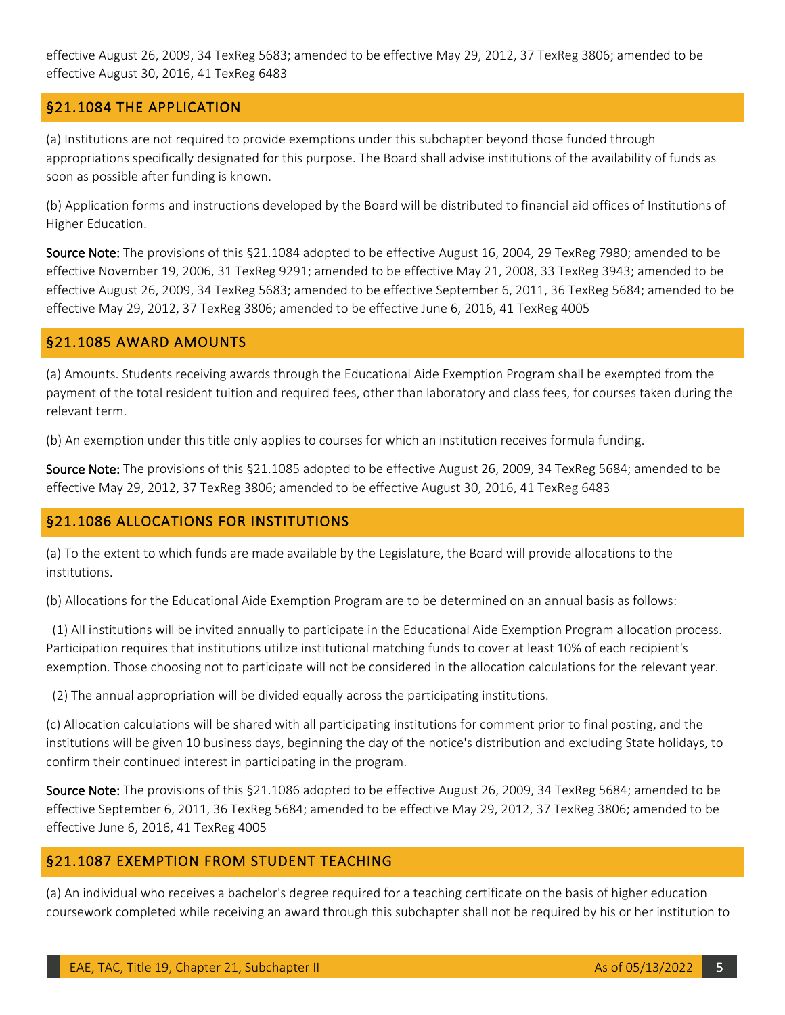effective August 26, 2009, 34 TexReg 5683; amended to be effective May 29, 2012, 37 TexReg 3806; amended to be effective August 30, 2016, 41 TexReg 6483

# <span id="page-4-0"></span>§21.1084 THE APPLICATION

(a) Institutions are not required to provide exemptions under this subchapter beyond those funded through appropriations specifically designated for this purpose. The Board shall advise institutions of the availability of funds as soon as possible after funding is known.

(b) Application forms and instructions developed by the Board will be distributed to financial aid offices of Institutions of Higher Education.

Source Note: The provisions of this §21.1084 adopted to be effective August 16, 2004, 29 TexReg 7980; amended to be effective November 19, 2006, 31 TexReg 9291; amended to be effective May 21, 2008, 33 TexReg 3943; amended to be effective August 26, 2009, 34 TexReg 5683; amended to be effective September 6, 2011, 36 TexReg 5684; amended to be effective May 29, 2012, 37 TexReg 3806; amended to be effective June 6, 2016, 41 TexReg 4005

#### <span id="page-4-1"></span>§21.1085 AWARD AMOUNTS

(a) Amounts. Students receiving awards through the Educational Aide Exemption Program shall be exempted from the payment of the total resident tuition and required fees, other than laboratory and class fees, for courses taken during the relevant term.

(b) An exemption under this title only applies to courses for which an institution receives formula funding.

Source Note: The provisions of this §21.1085 adopted to be effective August 26, 2009, 34 TexReg 5684; amended to be effective May 29, 2012, 37 TexReg 3806; amended to be effective August 30, 2016, 41 TexReg 6483

#### <span id="page-4-2"></span>§21.1086 ALLOCATIONS FOR INSTITUTIONS

(a) To the extent to which funds are made available by the Legislature, the Board will provide allocations to the institutions.

(b) Allocations for the Educational Aide Exemption Program are to be determined on an annual basis as follows:

 (1) All institutions will be invited annually to participate in the Educational Aide Exemption Program allocation process. Participation requires that institutions utilize institutional matching funds to cover at least 10% of each recipient's exemption. Those choosing not to participate will not be considered in the allocation calculations for the relevant year.

(2) The annual appropriation will be divided equally across the participating institutions.

(c) Allocation calculations will be shared with all participating institutions for comment prior to final posting, and the institutions will be given 10 business days, beginning the day of the notice's distribution and excluding State holidays, to confirm their continued interest in participating in the program.

Source Note: The provisions of this §21.1086 adopted to be effective August 26, 2009, 34 TexReg 5684; amended to be effective September 6, 2011, 36 TexReg 5684; amended to be effective May 29, 2012, 37 TexReg 3806; amended to be effective June 6, 2016, 41 TexReg 4005

#### <span id="page-4-3"></span>§21.1087 EXEMPTION FROM STUDENT TEACHING

(a) An individual who receives a bachelor's degree required for a teaching certificate on the basis of higher education coursework completed while receiving an award through this subchapter shall not be required by his or her institution to